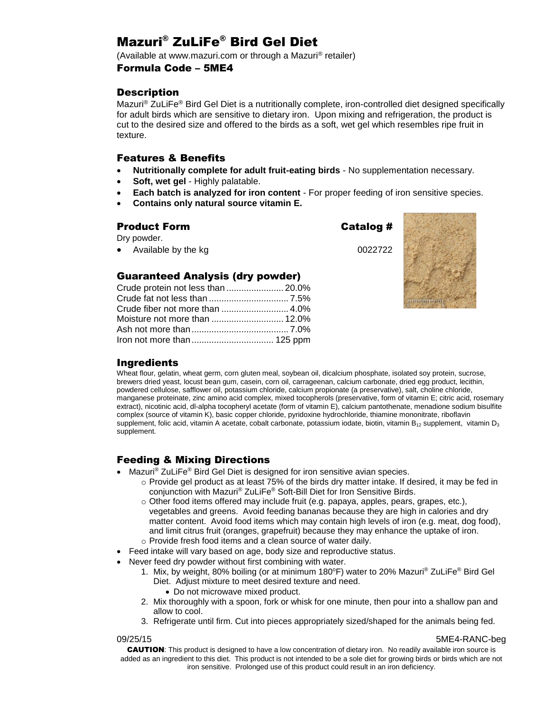# Mazuri® ZuLiFe® Bird Gel Diet

(Available at www.mazuri.com or through a Mazuri® retailer)

## Formula Code – 5ME4

## **Description**

Mazuri<sup>®</sup> ZuLiFe<sup>®</sup> Bird Gel Diet is a nutritionally complete, iron-controlled diet designed specifically for adult birds which are sensitive to dietary iron. Upon mixing and refrigeration, the product is cut to the desired size and offered to the birds as a soft, wet gel which resembles ripe fruit in texture.

## Features & Benefits

- **Nutritionally complete for adult fruit-eating birds**  No supplementation necessary.
- **Soft, wet gel**  Highly palatable.
- **Each batch is analyzed for iron content**  For proper feeding of iron sensitive species.
- **Contains only natural source vitamin E.**

## Product Form Catalog #

Dry powder.

Available by the kg 0022722



## Crude fat not less than ................................ 7.5%

| Iron not more than  125 ppm |  |
|-----------------------------|--|

Guaranteed Analysis (dry powder) Crude protein not less than ....................... 20.0%

## Ingredients

Wheat flour, gelatin, wheat germ, corn gluten meal, soybean oil, dicalcium phosphate, isolated soy protein, sucrose, brewers dried yeast, locust bean gum, casein, corn oil, carrageenan, calcium carbonate, dried egg product, lecithin, powdered cellulose, safflower oil, potassium chloride, calcium propionate (a preservative), salt, choline chloride, manganese proteinate, zinc amino acid complex, mixed tocopherols (preservative, form of vitamin E; citric acid, rosemary extract), nicotinic acid, dl-alpha tocopheryl acetate (form of vitamin E), calcium pantothenate, menadione sodium bisulfite complex (source of vitamin K), basic copper chloride, pyridoxine hydrochloride, thiamine mononitrate, riboflavin supplement, folic acid, vitamin A acetate, cobalt carbonate, potassium iodate, biotin, vitamin B<sub>12</sub> supplement, vitamin D<sub>3</sub> supplement.

## Feeding & Mixing Directions

- Mazuri<sup>®</sup> ZuLiFe<sup>®</sup> Bird Gel Diet is designed for iron sensitive avian species.
	- $\circ$  Provide gel product as at least 75% of the birds dry matter intake. If desired, it may be fed in conjunction with Mazuri® ZuLiFe® Soft-Bill Diet for Iron Sensitive Birds.
	- $\circ$  Other food items offered may include fruit (e.g. papaya, apples, pears, grapes, etc.), vegetables and greens. Avoid feeding bananas because they are high in calories and dry matter content. Avoid food items which may contain high levels of iron (e.g. meat, dog food), and limit citrus fruit (oranges, grapefruit) because they may enhance the uptake of iron. o Provide fresh food items and a clean source of water daily.
- Feed intake will vary based on age, body size and reproductive status.
- Never feed dry powder without first combining with water.
	- 1. Mix, by weight, 80% boiling (or at minimum 180°F) water to 20% Mazuri® ZuLiFe® Bird Gel Diet. Adjust mixture to meet desired texture and need.
		- Do not microwave mixed product.
	- 2. Mix thoroughly with a spoon, fork or whisk for one minute, then pour into a shallow pan and allow to cool.
	- 3. Refrigerate until firm. Cut into pieces appropriately sized/shaped for the animals being fed.

#### 09/25/15 5ME4-RANC-beg

CAUTION: This product is designed to have a low concentration of dietary iron. No readily available iron source is added as an ingredient to this diet. This product is not intended to be a sole diet for growing birds or birds which are not iron sensitive. Prolonged use of this product could result in an iron deficiency.